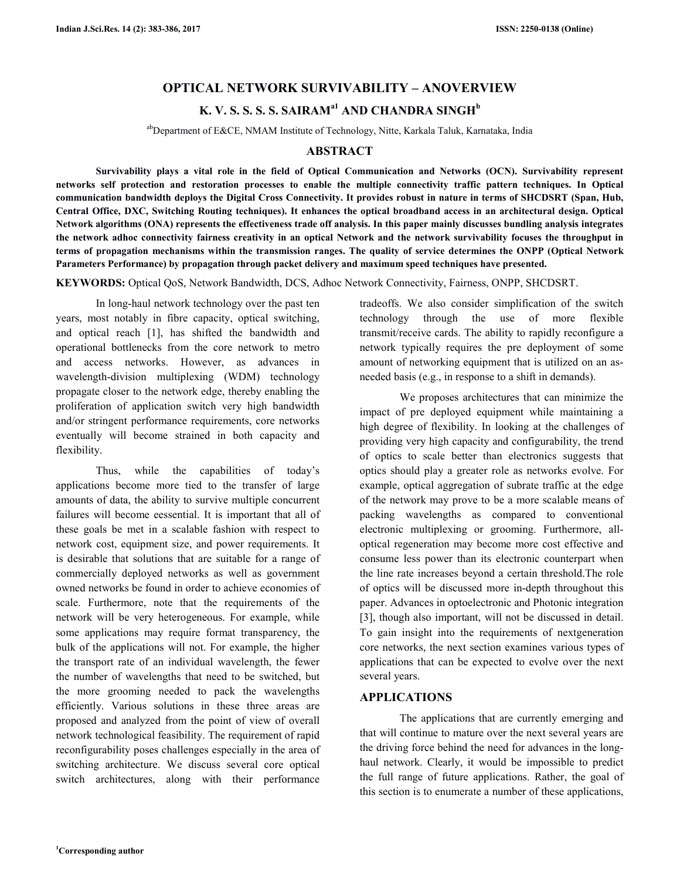# **OPTICAL NETWORK SURVIVABILITY – ANOVERVIEW K. V. S. S. S. S. SAIRAMa1 AND CHANDRA SINGH<sup>b</sup>**

abDepartment of E&CE, NMAM Institute of Technology, Nitte, Karkala Taluk, Karnataka, India

### **ABSTRACT**

 **Survivability plays a vital role in the field of Optical Communication and Networks (OCN). Survivability represent networks self protection and restoration processes to enable the multiple connectivity traffic pattern techniques. In Optical communication bandwidth deploys the Digital Cross Connectivity. It provides robust in nature in terms of SHCDSRT (Span, Hub, Central Office, DXC, Switching Routing techniques). It enhances the optical broadband access in an architectural design. Optical Network algorithms (ONA) represents the effectiveness trade off analysis. In this paper mainly discusses bundling analysis integrates the network adhoc connectivity fairness creativity in an optical Network and the network survivability focuses the throughput in terms of propagation mechanisms within the transmission ranges. The quality of service determines the ONPP (Optical Network Parameters Performance) by propagation through packet delivery and maximum speed techniques have presented.** 

**KEYWORDS:** Optical QoS, Network Bandwidth, DCS, Adhoc Network Connectivity, Fairness, ONPP, SHCDSRT.

 In long-haul network technology over the past ten years, most notably in fibre capacity, optical switching, and optical reach [1], has shifted the bandwidth and operational bottlenecks from the core network to metro and access networks. However, as advances in wavelength-division multiplexing (WDM) technology propagate closer to the network edge, thereby enabling the proliferation of application switch very high bandwidth and/or stringent performance requirements, core networks eventually will become strained in both capacity and flexibility.

 Thus, while the capabilities of today's applications become more tied to the transfer of large amounts of data, the ability to survive multiple concurrent failures will become eessential. It is important that all of these goals be met in a scalable fashion with respect to network cost, equipment size, and power requirements. It is desirable that solutions that are suitable for a range of commercially deployed networks as well as government owned networks be found in order to achieve economies of scale. Furthermore, note that the requirements of the network will be very heterogeneous. For example, while some applications may require format transparency, the bulk of the applications will not. For example, the higher the transport rate of an individual wavelength, the fewer the number of wavelengths that need to be switched, but the more grooming needed to pack the wavelengths efficiently. Various solutions in these three areas are proposed and analyzed from the point of view of overall network technological feasibility. The requirement of rapid reconfigurability poses challenges especially in the area of switching architecture. We discuss several core optical switch architectures, along with their performance

tradeoffs. We also consider simplification of the switch technology through the use of more flexible transmit/receive cards. The ability to rapidly reconfigure a network typically requires the pre deployment of some amount of networking equipment that is utilized on an asneeded basis (e.g., in response to a shift in demands).

 We proposes architectures that can minimize the impact of pre deployed equipment while maintaining a high degree of flexibility. In looking at the challenges of providing very high capacity and configurability, the trend of optics to scale better than electronics suggests that optics should play a greater role as networks evolve. For example, optical aggregation of subrate traffic at the edge of the network may prove to be a more scalable means of packing wavelengths as compared to conventional electronic multiplexing or grooming. Furthermore, alloptical regeneration may become more cost effective and consume less power than its electronic counterpart when the line rate increases beyond a certain threshold.The role of optics will be discussed more in-depth throughout this paper. Advances in optoelectronic and Photonic integration [3], though also important, will not be discussed in detail. To gain insight into the requirements of nextgeneration core networks, the next section examines various types of applications that can be expected to evolve over the next several years.

### **APPLICATIONS**

 The applications that are currently emerging and that will continue to mature over the next several years are the driving force behind the need for advances in the longhaul network. Clearly, it would be impossible to predict the full range of future applications. Rather, the goal of this section is to enumerate a number of these applications,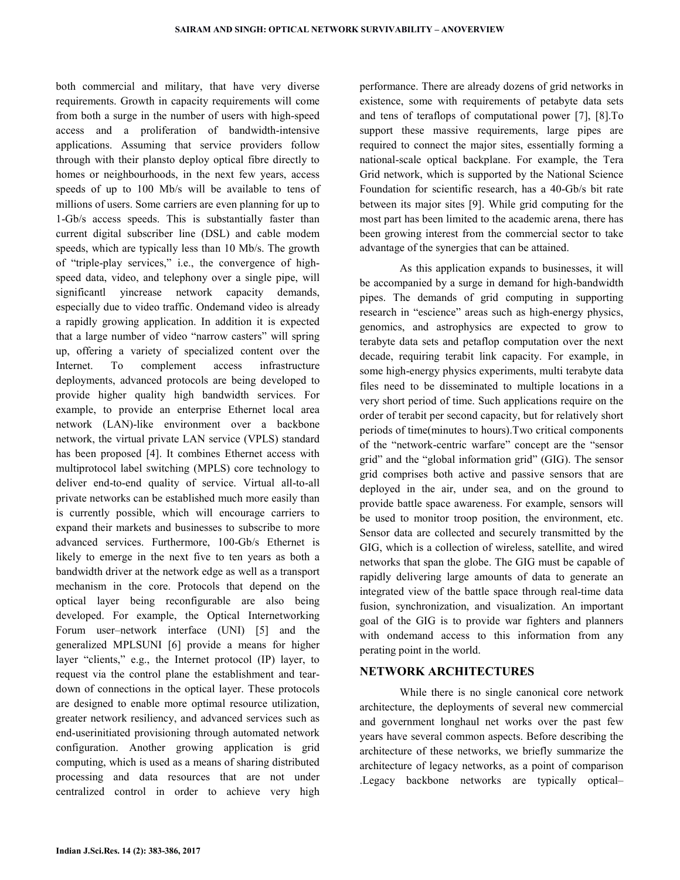both commercial and military, that have very diverse requirements. Growth in capacity requirements will come from both a surge in the number of users with high-speed access and a proliferation of bandwidth-intensive applications. Assuming that service providers follow through with their plansto deploy optical fibre directly to homes or neighbourhoods, in the next few years, access speeds of up to 100 Mb/s will be available to tens of millions of users. Some carriers are even planning for up to 1-Gb/s access speeds. This is substantially faster than current digital subscriber line (DSL) and cable modem speeds, which are typically less than 10 Mb/s. The growth of "triple-play services," i.e., the convergence of highspeed data, video, and telephony over a single pipe, will significantl yincrease network capacity demands, especially due to video traffic. Ondemand video is already a rapidly growing application. In addition it is expected that a large number of video "narrow casters" will spring up, offering a variety of specialized content over the Internet. To complement access infrastructure deployments, advanced protocols are being developed to provide higher quality high bandwidth services. For example, to provide an enterprise Ethernet local area network (LAN)-like environment over a backbone network, the virtual private LAN service (VPLS) standard has been proposed [4]. It combines Ethernet access with multiprotocol label switching (MPLS) core technology to deliver end-to-end quality of service. Virtual all-to-all private networks can be established much more easily than is currently possible, which will encourage carriers to expand their markets and businesses to subscribe to more advanced services. Furthermore, 100-Gb/s Ethernet is likely to emerge in the next five to ten years as both a bandwidth driver at the network edge as well as a transport mechanism in the core. Protocols that depend on the optical layer being reconfigurable are also being developed. For example, the Optical Internetworking Forum user–network interface (UNI) [5] and the generalized MPLSUNI [6] provide a means for higher layer "clients," e.g., the Internet protocol (IP) layer, to request via the control plane the establishment and teardown of connections in the optical layer. These protocols are designed to enable more optimal resource utilization, greater network resiliency, and advanced services such as end-userinitiated provisioning through automated network configuration. Another growing application is grid computing, which is used as a means of sharing distributed processing and data resources that are not under centralized control in order to achieve very high

performance. There are already dozens of grid networks in existence, some with requirements of petabyte data sets and tens of teraflops of computational power [7], [8].To support these massive requirements, large pipes are required to connect the major sites, essentially forming a national-scale optical backplane. For example, the Tera Grid network, which is supported by the National Science Foundation for scientific research, has a 40-Gb/s bit rate between its major sites [9]. While grid computing for the most part has been limited to the academic arena, there has been growing interest from the commercial sector to take advantage of the synergies that can be attained.

 As this application expands to businesses, it will be accompanied by a surge in demand for high-bandwidth pipes. The demands of grid computing in supporting research in "escience" areas such as high-energy physics, genomics, and astrophysics are expected to grow to terabyte data sets and petaflop computation over the next decade, requiring terabit link capacity. For example, in some high-energy physics experiments, multi terabyte data files need to be disseminated to multiple locations in a very short period of time. Such applications require on the order of terabit per second capacity, but for relatively short periods of time(minutes to hours).Two critical components of the "network-centric warfare" concept are the "sensor grid" and the "global information grid" (GIG). The sensor grid comprises both active and passive sensors that are deployed in the air, under sea, and on the ground to provide battle space awareness. For example, sensors will be used to monitor troop position, the environment, etc. Sensor data are collected and securely transmitted by the GIG, which is a collection of wireless, satellite, and wired networks that span the globe. The GIG must be capable of rapidly delivering large amounts of data to generate an integrated view of the battle space through real-time data fusion, synchronization, and visualization. An important goal of the GIG is to provide war fighters and planners with ondemand access to this information from any perating point in the world.

### **NETWORK ARCHITECTURES**

 While there is no single canonical core network architecture, the deployments of several new commercial and government longhaul net works over the past few years have several common aspects. Before describing the architecture of these networks, we briefly summarize the architecture of legacy networks, as a point of comparison .Legacy backbone networks are typically optical–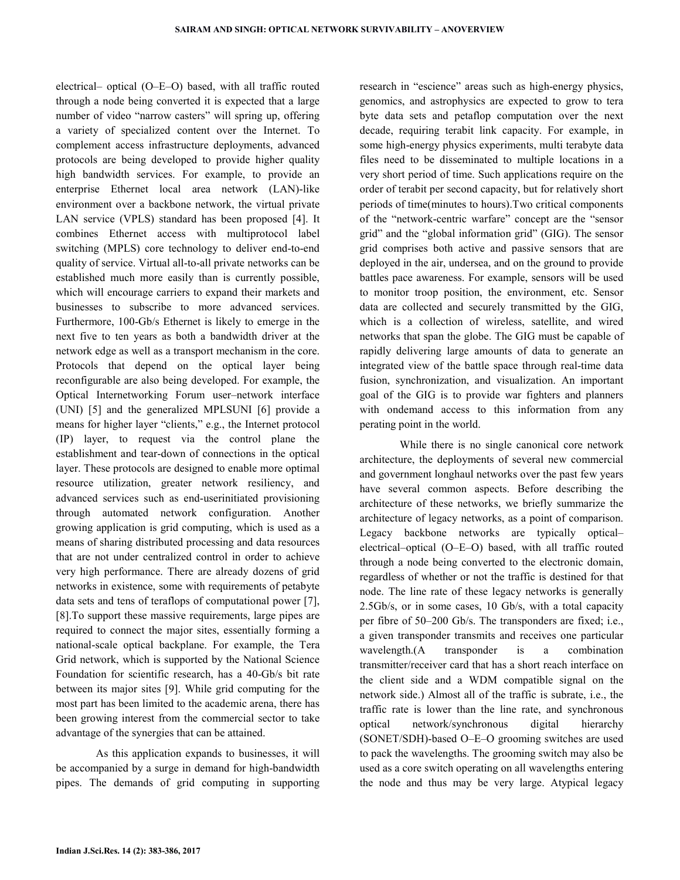electrical– optical (O–E–O) based, with all traffic routed through a node being converted it is expected that a large number of video "narrow casters" will spring up, offering a variety of specialized content over the Internet. To complement access infrastructure deployments, advanced protocols are being developed to provide higher quality high bandwidth services. For example, to provide an enterprise Ethernet local area network (LAN)-like environment over a backbone network, the virtual private LAN service (VPLS) standard has been proposed [4]. It combines Ethernet access with multiprotocol label switching (MPLS) core technology to deliver end-to-end quality of service. Virtual all-to-all private networks can be established much more easily than is currently possible, which will encourage carriers to expand their markets and businesses to subscribe to more advanced services. Furthermore, 100-Gb/s Ethernet is likely to emerge in the next five to ten years as both a bandwidth driver at the network edge as well as a transport mechanism in the core. Protocols that depend on the optical layer being reconfigurable are also being developed. For example, the Optical Internetworking Forum user–network interface (UNI) [5] and the generalized MPLSUNI [6] provide a means for higher layer "clients," e.g., the Internet protocol (IP) layer, to request via the control plane the establishment and tear-down of connections in the optical layer. These protocols are designed to enable more optimal resource utilization, greater network resiliency, and advanced services such as end-userinitiated provisioning through automated network configuration. Another growing application is grid computing, which is used as a means of sharing distributed processing and data resources that are not under centralized control in order to achieve very high performance. There are already dozens of grid networks in existence, some with requirements of petabyte data sets and tens of teraflops of computational power [7], [8].To support these massive requirements, large pipes are required to connect the major sites, essentially forming a national-scale optical backplane. For example, the Tera Grid network, which is supported by the National Science Foundation for scientific research, has a 40-Gb/s bit rate between its major sites [9]. While grid computing for the most part has been limited to the academic arena, there has been growing interest from the commercial sector to take advantage of the synergies that can be attained.

 As this application expands to businesses, it will be accompanied by a surge in demand for high-bandwidth pipes. The demands of grid computing in supporting

research in "escience" areas such as high-energy physics, genomics, and astrophysics are expected to grow to tera byte data sets and petaflop computation over the next decade, requiring terabit link capacity. For example, in some high-energy physics experiments, multi terabyte data files need to be disseminated to multiple locations in a very short period of time. Such applications require on the order of terabit per second capacity, but for relatively short periods of time(minutes to hours).Two critical components of the "network-centric warfare" concept are the "sensor grid" and the "global information grid" (GIG). The sensor grid comprises both active and passive sensors that are deployed in the air, undersea, and on the ground to provide battles pace awareness. For example, sensors will be used to monitor troop position, the environment, etc. Sensor data are collected and securely transmitted by the GIG, which is a collection of wireless, satellite, and wired networks that span the globe. The GIG must be capable of rapidly delivering large amounts of data to generate an integrated view of the battle space through real-time data fusion, synchronization, and visualization. An important goal of the GIG is to provide war fighters and planners with ondemand access to this information from any perating point in the world.

 While there is no single canonical core network architecture, the deployments of several new commercial and government longhaul networks over the past few years have several common aspects. Before describing the architecture of these networks, we briefly summarize the architecture of legacy networks, as a point of comparison. Legacy backbone networks are typically optical– electrical–optical (O–E–O) based, with all traffic routed through a node being converted to the electronic domain, regardless of whether or not the traffic is destined for that node. The line rate of these legacy networks is generally 2.5Gb/s, or in some cases, 10 Gb/s, with a total capacity per fibre of 50–200 Gb/s. The transponders are fixed; i.e., a given transponder transmits and receives one particular wavelength.(A transponder is a combination transmitter/receiver card that has a short reach interface on the client side and a WDM compatible signal on the network side.) Almost all of the traffic is subrate, i.e., the traffic rate is lower than the line rate, and synchronous optical network/synchronous digital hierarchy (SONET/SDH)-based O–E–O grooming switches are used to pack the wavelengths. The grooming switch may also be used as a core switch operating on all wavelengths entering the node and thus may be very large. Atypical legacy